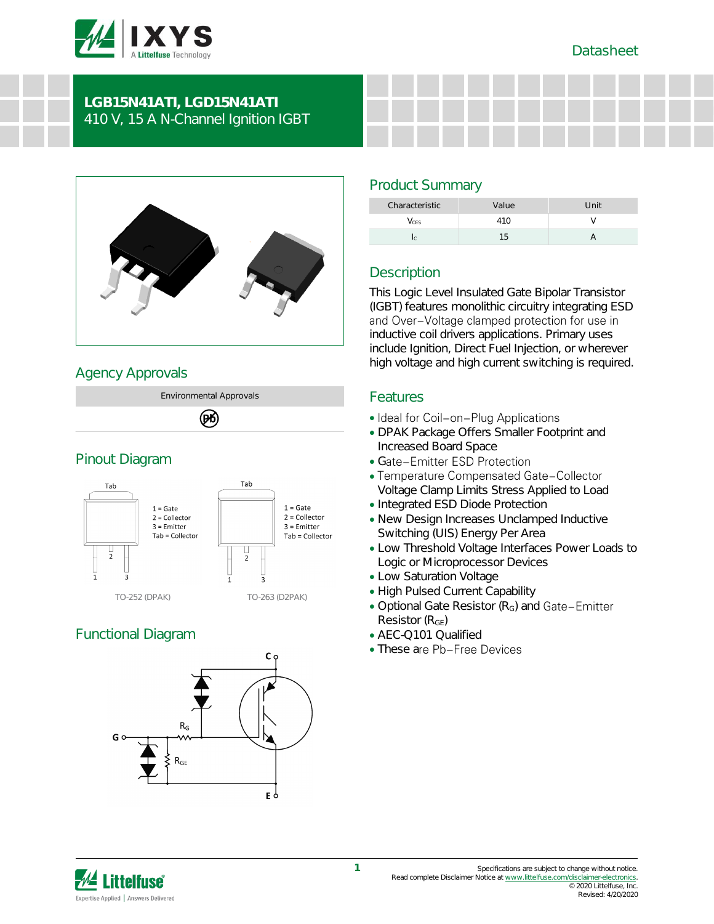

# **LGB15N41ATI, LGD15N41ATI** 410 V, 15 A N-Channel Ignition IGBT



## Agency Approvals





# Functional Diagram



# Product Summary

| Characteristic | Value | Unit |
|----------------|-------|------|
| <b>CES</b>     | 41 N  |      |
|                |       |      |

# **Description**

This Logic Level Insulated Gate Bipolar Transistor (IGBT) features monolithic circuitry integrating ESD and Over-Voltage clamped protection for use in inductive coil drivers applications. Primary uses include Ignition, Direct Fuel Injection, or wherever high voltage and high current switching is required.

## Features

- Ideal for Coil-on-Plug Applications
- DPAK Package Offers Smaller Footprint and Increased Board Space
- Gate-Emitter ESD Protection
- Temperature Compensated Gate-Collector Voltage Clamp Limits Stress Applied to Load
- Integrated ESD Diode Protection
- New Design Increases Unclamped Inductive Switching (UIS) Energy Per Area
- Low Threshold Voltage Interfaces Power Loads to Logic or Microprocessor Devices
- Low Saturation Voltage
- High Pulsed Current Capability
- Optional Gate Resistor (R<sub>G</sub>) and Gate-Emitter Resistor  $(R<sub>GF</sub>)$
- AEC-Q101 Qualified
- These are Pb-Free Devices

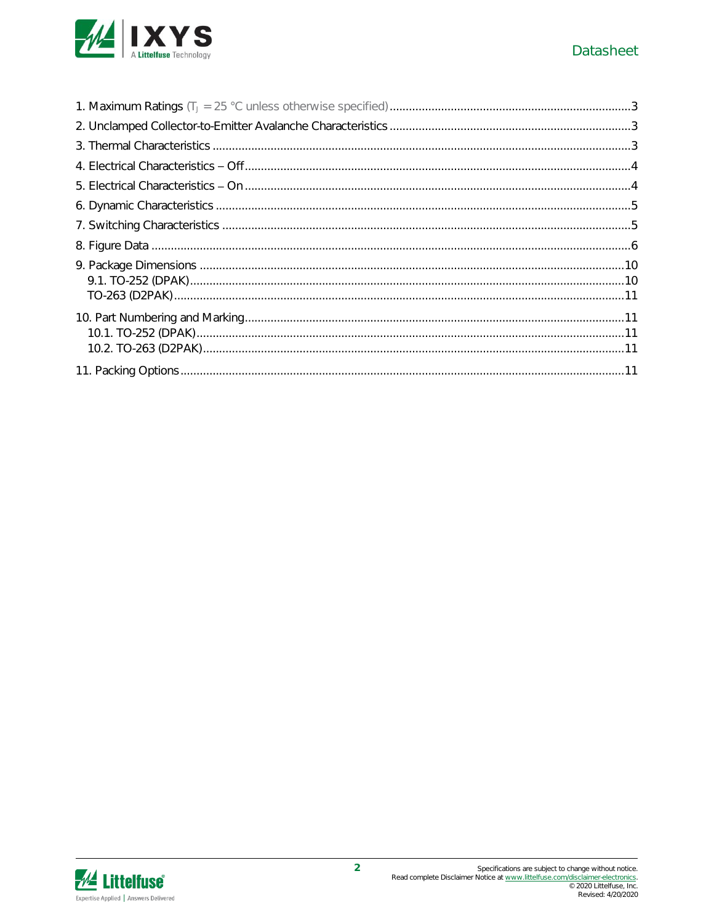

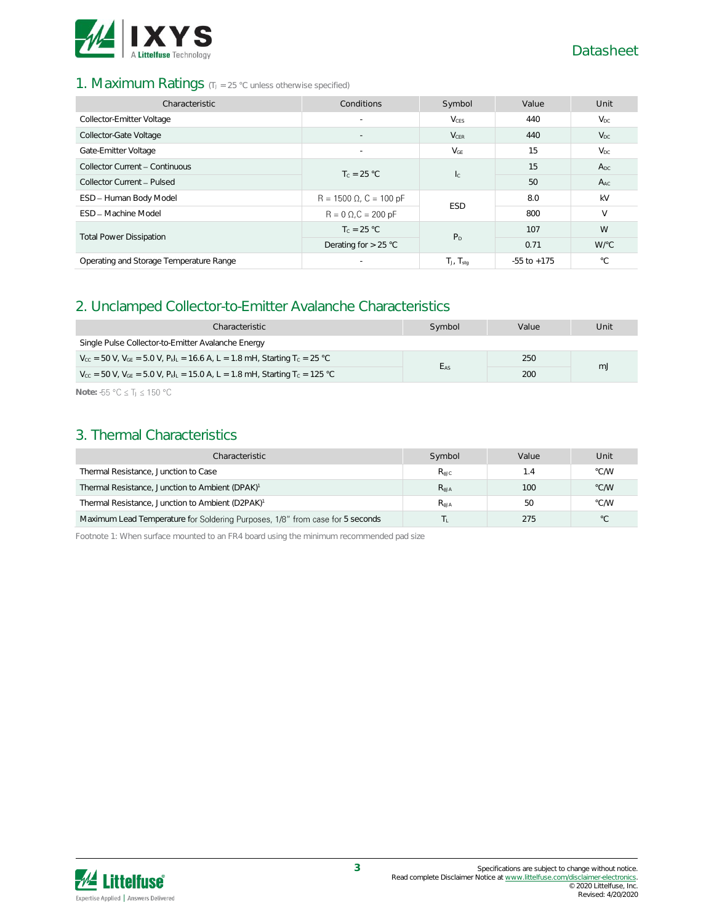

## 1. Maximum Ratings (TJ = 25 °C unless otherwise specified)

| Characteristic                          | Conditions                     | Symbol            | Value           | Unit         |
|-----------------------------------------|--------------------------------|-------------------|-----------------|--------------|
| Collector-Emitter Voltage               | $\overline{\phantom{a}}$       | V <sub>CES</sub>  | 440             | $V_{DC}$     |
| Collector-Gate Voltage                  | $\overline{\phantom{a}}$       | $V_{CER}$         | 440             | $V_{DC}$     |
| Gate-Emitter Voltage                    | $\overline{\phantom{a}}$       | $V_{GE}$          | 15              | $V_{DC}$     |
| Collector Current - Continuous          | $T_c = 25 °C$                  |                   | 15              | $A_{DC}$     |
| Collector Current - Pulsed              |                                | $l_{\rm C}$       | 50              | $A_{AC}$     |
| ESD - Human Body Model                  | $R = 1500 \Omega$ , C = 100 pF | <b>ESD</b>        | 8.0             | kV           |
| <b>FSD - Machine Model</b>              | $R = 0 \Omega$ , $C = 200 pF$  |                   | 800             | $\vee$       |
|                                         | $T_c = 25 °C$                  | P <sub>D</sub>    | 107             | W            |
| <b>Total Power Dissipation</b>          | Derating for $> 25$ °C         |                   | 0.71            | W/°C         |
| Operating and Storage Temperature Range | $\overline{\phantom{a}}$       | $T_J$ , $T_{stq}$ | $-55$ to $+175$ | $^{\circ}$ C |

## 2. Unclamped Collector-to-Emitter Avalanche Characteristics

| Characteristic                                                                                                                     | Symbol   | Value | Unit |  |
|------------------------------------------------------------------------------------------------------------------------------------|----------|-------|------|--|
| Single Pulse Collector-to-Emitter Avalanche Energy                                                                                 |          |       |      |  |
| $V_{\text{cc}}$ = 50 V, $V_{\text{GE}}$ = 5.0 V, $P_{\text{k}}I_{\text{L}}$ = 16.6 A, L = 1.8 mH, Starting T <sub>c</sub> = 25 °C  |          | 250   |      |  |
| $V_{\text{cc}}$ = 50 V, $V_{\text{GE}}$ = 5.0 V, $P_{\text{k}}I_{\text{L}}$ = 15.0 A, L = 1.8 mH, Starting T <sub>c</sub> = 125 °C | $E_{AS}$ | 200   | mJ   |  |

Note: -55 °C ≤ T<sub>J</sub> ≤ 150 °C

## 3. Thermal Characteristics

| Characteristic                                                                | Symbol           | Value | Unit          |
|-------------------------------------------------------------------------------|------------------|-------|---------------|
| Thermal Resistance, Junction to Case                                          | $R_{\text{AJC}}$ | 1.4   | °C/W          |
| Thermal Resistance, Junction to Ambient (DPAK) <sup>1</sup>                   | $R_{AJA}$        | 100   | $\degree$ C/W |
| Thermal Resistance, Junction to Ambient (D2PAK) <sup>1</sup>                  | $R_{AJA}$        | 50    | °C/W          |
| Maximum Lead Temperature for Soldering Purposes, 1/8" from case for 5 seconds |                  | 275   | $^{\circ}$ C  |

Footnote 1: When surface mounted to an FR4 board using the minimum recommended pad size

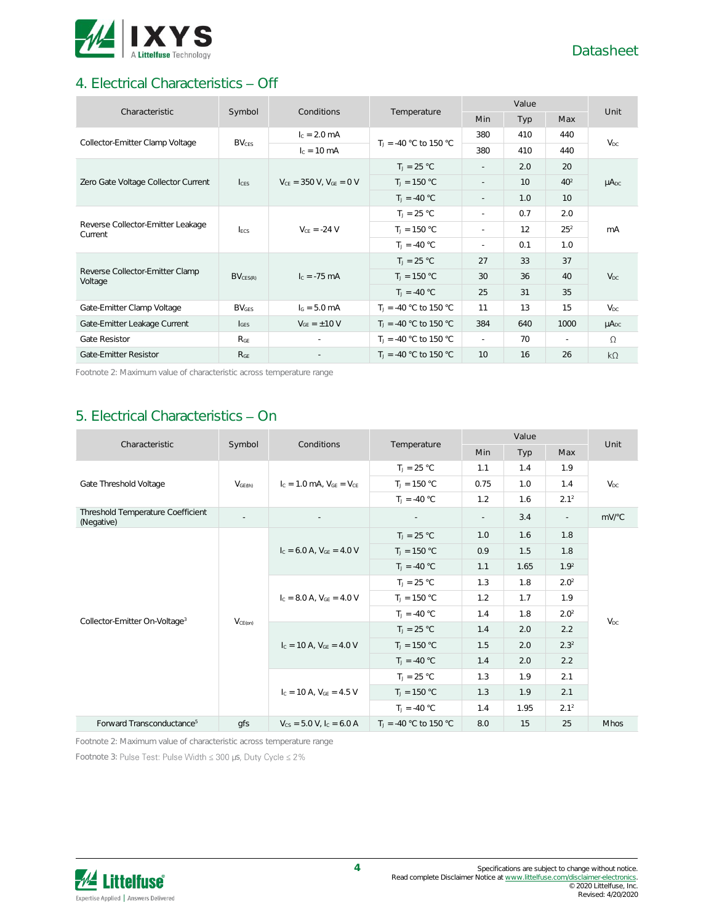

# 4. Electrical Characteristics - Off

| Characteristic                               | Symbol                  |                                  | Conditions<br>Temperature |                          | Value |          |              |
|----------------------------------------------|-------------------------|----------------------------------|---------------------------|--------------------------|-------|----------|--------------|
|                                              |                         |                                  |                           | Min                      | Typ   | Max      | Unit         |
| Collector-Emitter Clamp Voltage              | <b>BV<sub>CES</sub></b> | $I_c = 2.0$ mA                   | $T_1 = -40$ °C to 150 °C  | 380                      | 410   | 440      | $V_{DC}$     |
|                                              |                         | $c = 10$ mA                      |                           | 380                      | 410   | 440      |              |
|                                              |                         |                                  | $T_1 = 25 °C$             | $\overline{\phantom{a}}$ | 2.0   | 20       |              |
| Zero Gate Voltage Collector Current          | c <sub>FS</sub>         | $V_{CE}$ = 350 V, $V_{GE}$ = 0 V | $T_J = 150 °C$            |                          | 10    | $40^{2}$ | $\mu A_{DC}$ |
|                                              |                         |                                  | $T_1 = -40 °C$            | $\sim$                   | 1.0   | 10       |              |
|                                              |                         |                                  | $T_1 = 25 °C$             | ٠                        | 0.7   | 2.0      |              |
| Reverse Collector-Emitter Leakage<br>Current | <b>IFCS</b>             | $V_{CE} = -24 V$                 | $T_J = 150 °C$            | $\overline{\phantom{a}}$ | 12    | $25^{2}$ | mA           |
|                                              |                         |                                  | $T_J = -40 °C$            | ٠                        | 0.1   | 1.0      |              |
|                                              |                         |                                  | $T_1 = 25 °C$             | 27                       | 33    | 37       |              |
| Reverse Collector-Emitter Clamp<br>Voltage   | $BV_{CES(R)}$           | $I_c = -75$ mA                   | $T_J = 150 °C$            | 30                       | 36    | 40       | $V_{DC}$     |
|                                              |                         |                                  | $T_1 = -40 °C$            | 25                       | 31    | 35       |              |
| Gate-Emitter Clamp Voltage                   | $BV_{GES}$              | $IG = 5.0 mA$                    | $T_1 = -40$ °C to 150 °C  | 11                       | 13    | 15       | $V_{DC}$     |
| Gate-Emitter Leakage Current                 | $I_{\text{GES}}$        | $V_{GF} = \pm 10 V$              | $T_1 = -40$ °C to 150 °C  | 384                      | 640   | 1000     | $\mu A_{DC}$ |
| Gate Resistor                                | R <sub>GE</sub>         |                                  | $T_1 = -40$ °C to 150 °C  | $\sim$                   | 70    | $\sim$   | $\Omega$     |
| Gate-Emitter Resistor                        | R <sub>GE</sub>         |                                  | $T_1 = -40$ °C to 150 °C  | 10                       | 16    | 26       | $k\Omega$    |

Footnote 2: Maximum value of characteristic across temperature range

# 5. Electrical Characteristics - On

| Characteristic                                  | Symbol              | Conditions                        | Temperature              | Value      |      |                  | Unit            |
|-------------------------------------------------|---------------------|-----------------------------------|--------------------------|------------|------|------------------|-----------------|
|                                                 |                     |                                   |                          | <b>Min</b> | Typ  | Max              |                 |
| Gate Threshold Voltage                          |                     |                                   | $T_J = 25 °C$            | 1.1        | 1.4  | 1.9              |                 |
|                                                 | V <sub>GE(th)</sub> | $I_c = 1.0$ MA, $V_{GF} = V_{CF}$ | $T_J = 150 °C$           | 0.75       | 1.0  | 1.4              | $V_{DC}$        |
|                                                 |                     |                                   | $T_1 = -40 °C$           | 1.2        | 1.6  | 2.1 <sup>2</sup> |                 |
| Threshold Temperature Coefficient<br>(Negative) | $\sim$              |                                   | $\sim$                   | $\sim$     | 3.4  | $\mathcal{L}$    | mV/°C           |
|                                                 |                     |                                   | $T_J = 25 °C$            | 1.0        | 1.6  | 1.8              |                 |
|                                                 |                     | $I_C = 6.0$ A, $V_{GF} = 4.0$ V   | $T_J = 150 °C$           | 0.9        | 1.5  | 1.8              | V <sub>DC</sub> |
|                                                 |                     |                                   | $T_1 = -40 °C$           | 1.1        | 1.65 | 1.9 <sup>2</sup> |                 |
|                                                 |                     | $I_c = 8.0$ A, $V_{GE} = 4.0$ V   | $T_J = 25 °C$            | 1.3        | 1.8  | 2.0 <sup>2</sup> |                 |
|                                                 |                     |                                   | $T_J = 150 °C$           | 1.2        | 1.7  | 1.9              |                 |
| Collector-Emitter On-Voltage <sup>3</sup>       | $V_{CE(on)}$        |                                   | $T_1 = -40 °C$           | 1.4        | 1.8  | 2.0 <sup>2</sup> |                 |
|                                                 |                     | $I_c = 10$ A, $V_{GE} = 4.0$ V    | $T_J = 25 °C$            | 1.4        | 2.0  | 2.2              |                 |
|                                                 |                     |                                   | $T_J = 150 °C$           | 1.5        | 2.0  | $2.3^{2}$        |                 |
|                                                 |                     |                                   | $T_1 = -40 °C$           | 1.4        | 2.0  | 2.2              |                 |
|                                                 |                     |                                   | $T_J = 25 °C$            | 1.3        | 1.9  | 2.1              |                 |
|                                                 |                     | $I_c = 10$ A, $V_{CF} = 4.5$ V    | $T_1 = 150 °C$           | 1.3        | 1.9  | 2.1              |                 |
|                                                 |                     |                                   | $T_1 = -40 °C$           | 1.4        | 1.95 | 2.1 <sup>2</sup> |                 |
| Forward Transconductance <sup>5</sup>           | gfs                 | $V_{CS} = 5.0 V, I_C = 6.0 A$     | $T_1 = -40$ °C to 150 °C | 8.0        | 15   | 25               | <b>Mhos</b>     |

Footnote 2: Maximum value of characteristic across temperature range

Footnote 3: Pulse Test: Pulse Width  $\leq 300$  µs, Duty Cycle  $\leq 2\%$ 

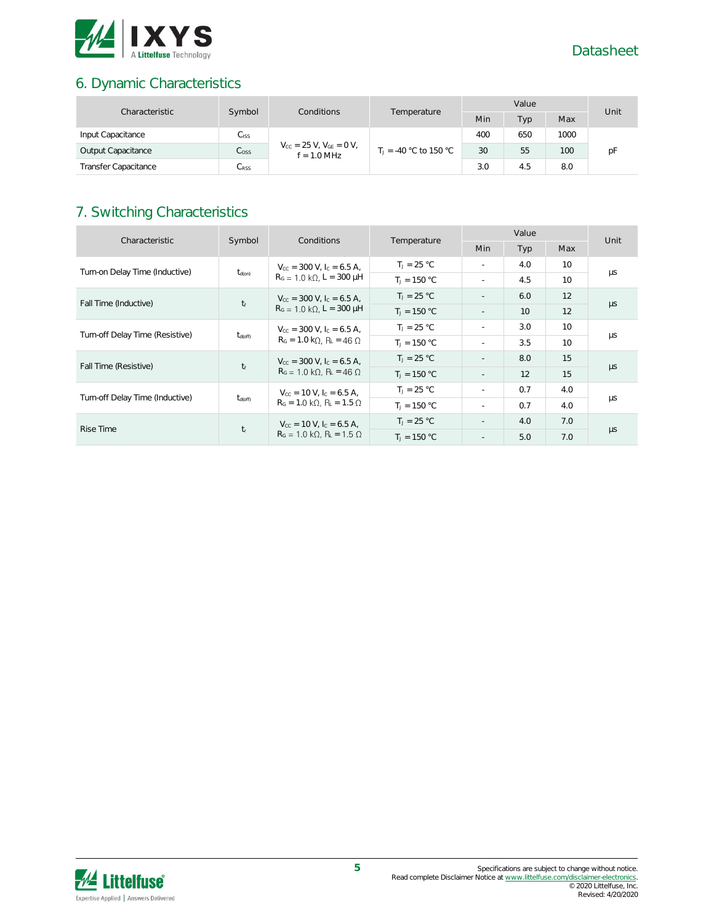

# 6. Dynamic Characteristics

| Characteristic              | Symbol<br>Conditions<br>Temperature | Value                                               |  |                          | Unit |      |     |    |
|-----------------------------|-------------------------------------|-----------------------------------------------------|--|--------------------------|------|------|-----|----|
|                             |                                     |                                                     |  | Min                      | Typ  | Max  |     |    |
| Input Capacitance           | $C_{\text{ISS}}$                    |                                                     |  | 400                      | 650  | 1000 |     |    |
| Output Capacitance          | C <sub>oss</sub>                    | $V_{CC} = 25 V$ , $V_{GE} = 0 V$ ,<br>$f = 1.0$ MHz |  | $T_1 = -40$ °C to 150 °C | 30   | 55   | 100 | рF |
| <b>Transfer Capacitance</b> | $C_{\rm RSS}$                       |                                                     |  | 3.0                      | 4.5  | 8.0  |     |    |

# 7. Switching Characteristics

| Characteristic                                         | Symbol                                                                                                       | Conditions                                                                                                                            | Temperature    | Value                    |            |                 | Unit    |
|--------------------------------------------------------|--------------------------------------------------------------------------------------------------------------|---------------------------------------------------------------------------------------------------------------------------------------|----------------|--------------------------|------------|-----------------|---------|
|                                                        |                                                                                                              |                                                                                                                                       |                | Min                      | <b>Typ</b> | Max             |         |
| Turn-on Delay Time (Inductive)                         | $t_{d(on)}$                                                                                                  | $V_{cc}$ = 300 V, $I_c$ = 6.5 A,                                                                                                      | $T_1 = 25 °C$  | $\sim$                   | 4.0        | 10              |         |
|                                                        |                                                                                                              | $R_G = 1.0 \text{ k}\Omega$ , L = 300 µH                                                                                              | $T_1 = 150 °C$ | $\sim$                   | 4.5        | 10 <sup>2</sup> | μs      |
|                                                        |                                                                                                              | $V_{\text{CC}}$ = 300 V, I <sub>C</sub> = 6.5 A,                                                                                      | $T_1 = 25 °C$  | $\overline{\phantom{a}}$ | 6.0        | 12              |         |
| $t_f$<br>Fall Time (Inductive)                         |                                                                                                              | $R_G = 1.0 \text{ k}\Omega$ , L = 300 µH                                                                                              | $T_1 = 150 °C$ | $\sim$                   | 10         | 12              | $\mu s$ |
| Turn-off Delay Time (Resistive)<br>$t_{\text{d(off)}}$ |                                                                                                              | $V_{\text{cc}}$ = 300 V, $I_{\text{c}}$ = 6.5 A,<br>$R_G = 1.0 k\Omega$ , $R_L = 46 \Omega$                                           | $T_1 = 25 °C$  | $\sim$                   | 3.0        | 10 <sup>2</sup> | μs      |
|                                                        |                                                                                                              |                                                                                                                                       | $T_1 = 150 °C$ | $\sim$                   | 3.5        | 10 <sup>2</sup> |         |
| Fall Time (Resistive)                                  | $V_{\text{CC}}$ = 300 V, I <sub>C</sub> = 6.5 A,<br>$t_f$<br>$R_G = 1.0 \text{ k}\Omega$ , $R_L = 46 \Omega$ |                                                                                                                                       | $T_1 = 25 °C$  | $\sim$                   | 8.0        | 15              |         |
|                                                        |                                                                                                              | $T_1 = 150 °C$                                                                                                                        |                | 12                       | 15         | $\mu s$         |         |
|                                                        |                                                                                                              | $V_{\text{cc}} = 10 \text{ V}$ , $I_{\text{c}} = 6.5 \text{ A}$ ,<br>$t_{d(off)}$<br>$R_G = 1.0 \text{ k}\Omega$ , $R_L = 1.5 \Omega$ | $T_1 = 25 °C$  | $\sim$                   | 0.7        | 4.0             |         |
| Turn-off Delay Time (Inductive)                        |                                                                                                              |                                                                                                                                       | $T_1 = 150 °C$ | $\sim$                   | 0.7        | 4.0             | μs      |
| Rise Time                                              |                                                                                                              | $V_{\text{cc}} = 10 \text{ V}$ , $I_{\text{c}} = 6.5 \text{ A}$ ,                                                                     | $T_1 = 25 °C$  | $\sim$                   | 4.0        | 7.0             |         |
|                                                        | $t_{r}$                                                                                                      | $R_G = 1.0 \text{ k}\Omega$ , $R_L = 1.5 \Omega$                                                                                      | $T_1 = 150 °C$ | $\overline{a}$           | 5.0        | 7.0             | $\mu s$ |

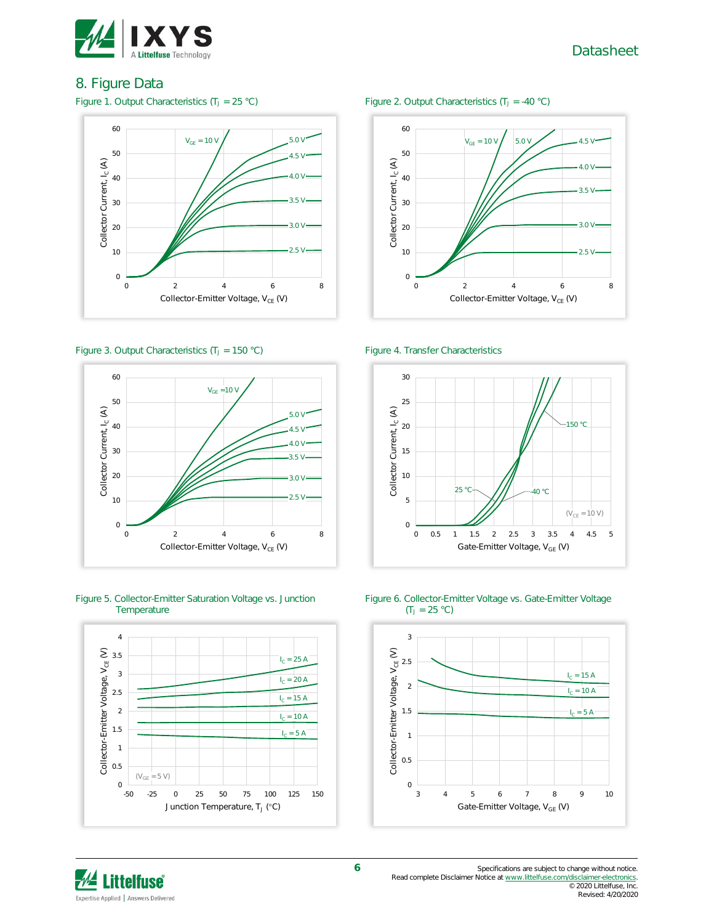

## 8. Figure Data



### Figure 3. Output Characteristics  $(T_J = 150 \degree C)$  Figure 4. Transfer Characteristics



Figure 5. Collector-Emitter Saturation Voltage vs. Junction **Temperature** 



### Figure 1. Output Characteristics ( $T_J = 25 \text{ °C}$ ) Figure 2. Output Characteristics ( $T_J = -40 \text{ °C}$ )









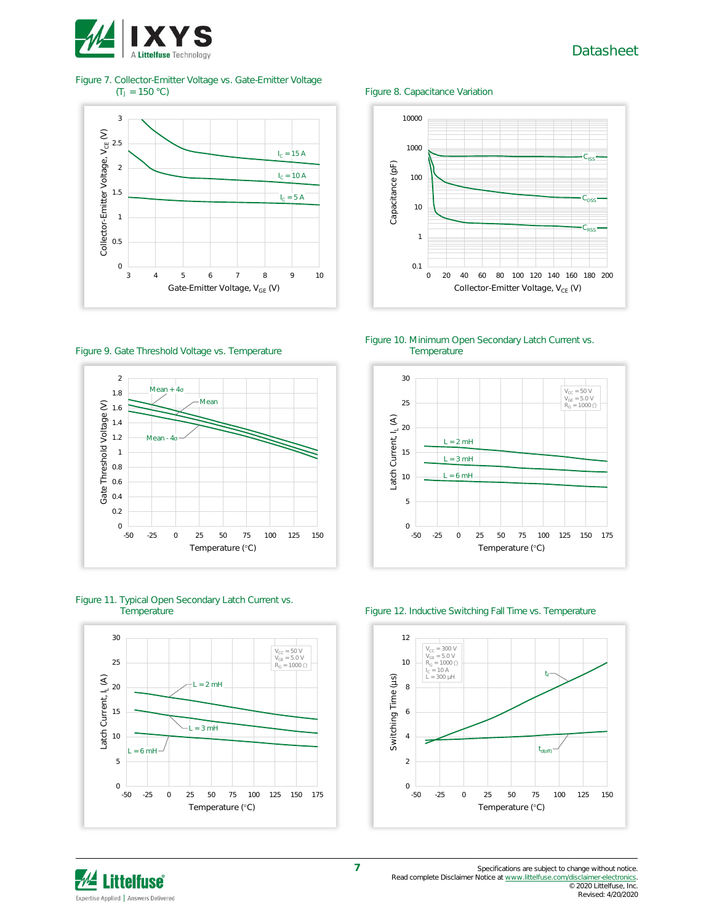

Figure 7. Collector-Emitter Voltage vs. Gate-Emitter Voltage (T<sub>J</sub> = 150 °C)





Figure 8. Capacitance Variation

10000

Figure 10. Minimum Open Secondary Latch Current vs. **Temperature** 











### Figure 12. Inductive Switching Fall Time vs. Temperature





© 2020 Littelfuse, Inc. Revised: 4/20/2020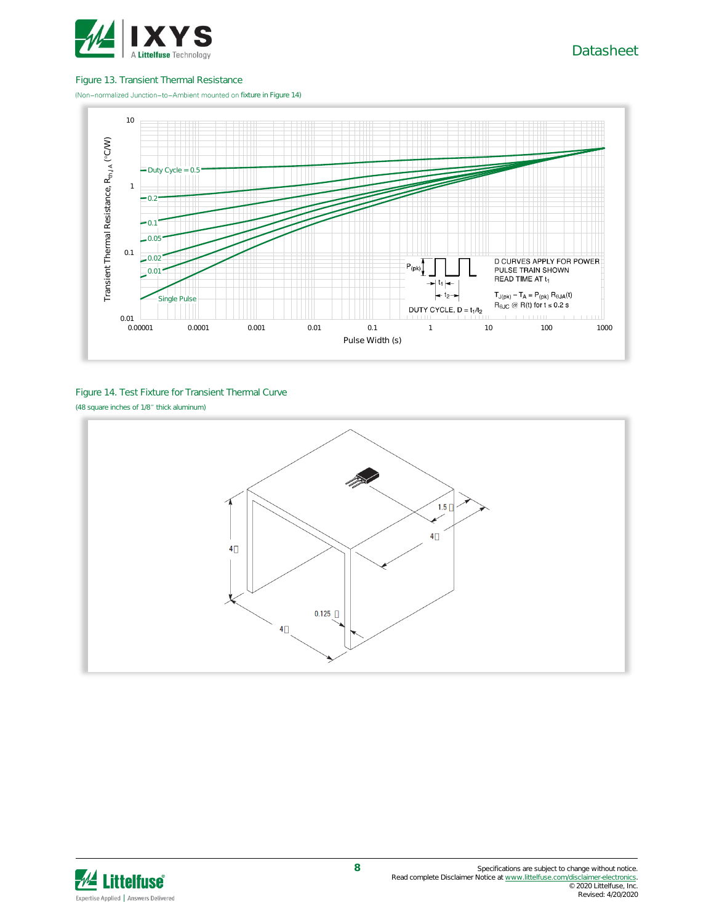

#### Figure 13. Transient Thermal Resistance

(Non-normalized Junction-to-Ambient mounted on fixture in Figure 14)



#### Figure 14. Test Fixture for Transient Thermal Curve (48 square inches of 1/8" thick aluminum)



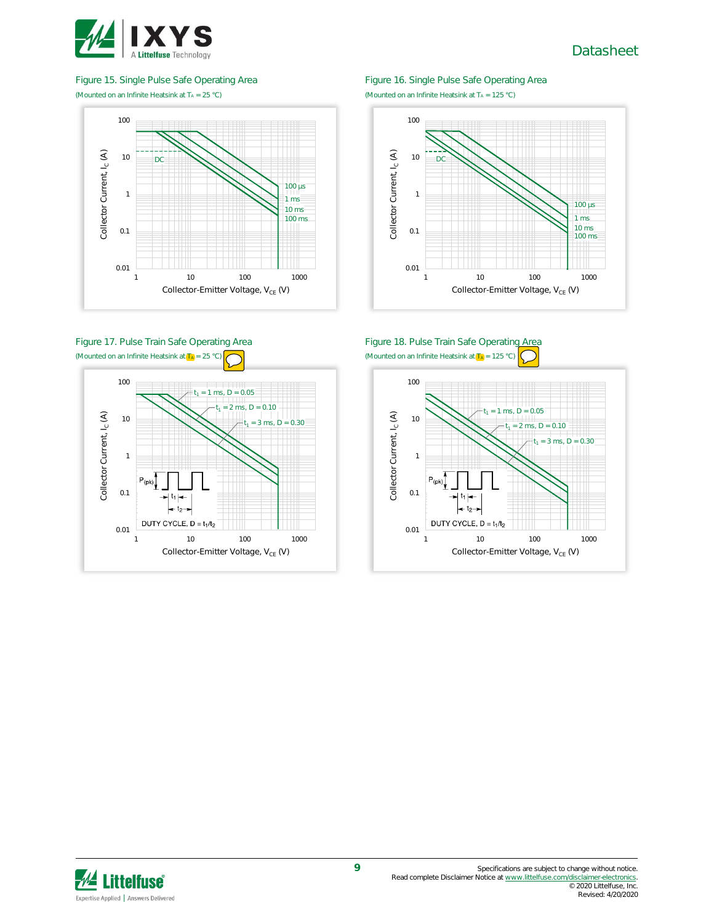

Figure 15. Single Pulse Safe Operating Area (Mounted on an Infinite Heatsink at  $T_A = 25 °C$ )



### Figure 17. Pulse Train Safe Operating Area (Mounted on an Infinite Heatsink at  $(T_A) = 25$  °C)



#### Figure 16. Single Pulse Safe Operating Area (Mounted on an Infinite Heatsink at  $T_A = 125 °C$ )



#### Figure 18. Pulse Train Safe Operating Area (Mounted on an Infinite Heatsink at  $(T_A) = 125$



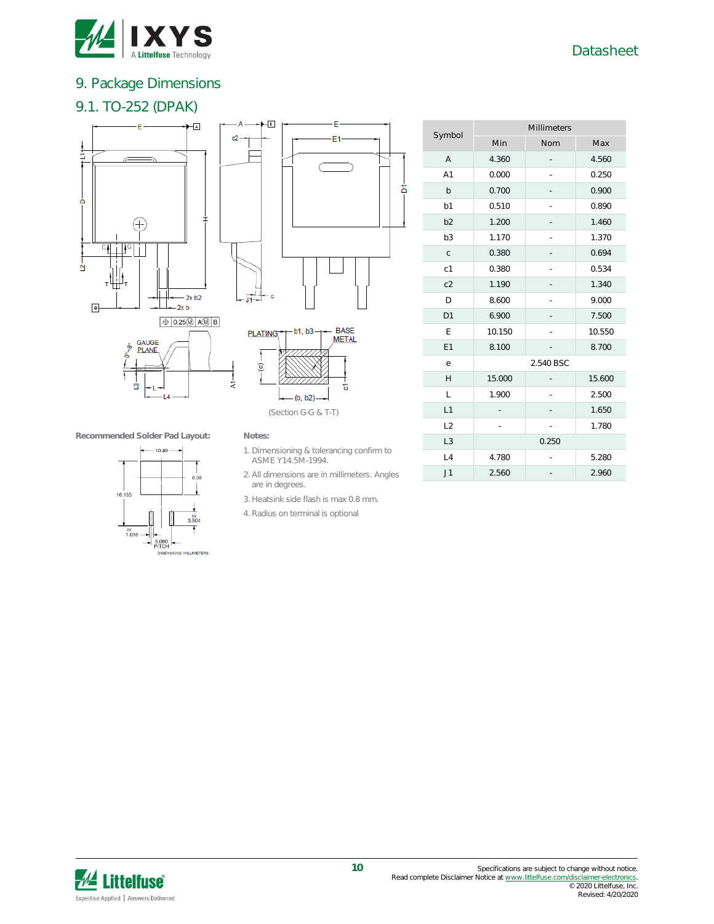

# 9. Package Dimensions

## 9.1. TO-252 (DPAK)









(Section G-G & T-T)

A1 0.000 - 0.250 b 0.700 - 0.900 b1 0.510 - 0.890 b2 1.200 - 1.460 b3 1.170 - 1.370 c  $0.380$  - 0.694 c1 0.380 - 0.534 c2 1.190 - 1.340 D 8.600 - 9.000 D1 6.900 - 7.500  $E$  10.150 - 10.550 E1 8.100 - 8.700 e 2.540 BSC H 15.000 - 15.600 L 1.900 - 2.500  $L1$   $-1.650$ L2 - - 1.780 L3 0.250  $L4$  4.780 - 5.280  $J1$  2.560 - 2.960

Millimeters Min Nom Max

A 4.360 - 4.560

Symbol

**Recommended Solder Pad Layout: Notes:**



 $c2$ 

- 1. Dimensioning & tolerancing confirm to ASME Y14.5M-1994.
- 2. All dimensions are in millimeters. Angles are in degrees.
- 3. Heatsink side flash is max 0.8 mm.
- 4. Radius on terminal is optional